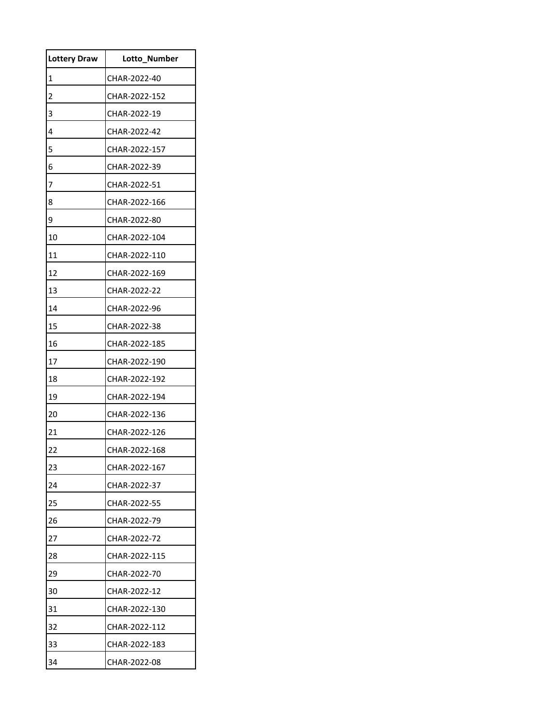| <b>Lottery Draw</b> | <b>Lotto Number</b> |
|---------------------|---------------------|
| 1                   | CHAR-2022-40        |
| 2                   | CHAR-2022-152       |
| 3                   | CHAR-2022-19        |
| 4                   | CHAR-2022-42        |
| 5                   | CHAR-2022-157       |
| 6                   | CHAR-2022-39        |
| 7                   | CHAR-2022-51        |
| 8                   | CHAR-2022-166       |
| 9                   | CHAR-2022-80        |
| 10                  | CHAR-2022-104       |
| 11                  | CHAR-2022-110       |
| 12                  | CHAR-2022-169       |
| 13                  | CHAR-2022-22        |
| 14                  | CHAR-2022-96        |
| 15                  | CHAR-2022-38        |
| 16                  | CHAR-2022-185       |
| 17                  | CHAR-2022-190       |
| 18                  | CHAR-2022-192       |
| 19                  | CHAR-2022-194       |
| 20                  | CHAR-2022-136       |
| 21                  | CHAR-2022-126       |
| 22                  | CHAR-2022-168       |
| 23                  | CHAR-2022-167       |
| 24                  | CHAR-2022-37        |
| 25                  | CHAR-2022-55        |
| 26                  | CHAR-2022-79        |
| 27                  | CHAR-2022-72        |
| 28                  | CHAR-2022-115       |
| 29                  | CHAR-2022-70        |
| 30                  | CHAR-2022-12        |
| 31                  | CHAR-2022-130       |
| 32                  | CHAR-2022-112       |
| 33                  | CHAR-2022-183       |
| 34                  | CHAR-2022-08        |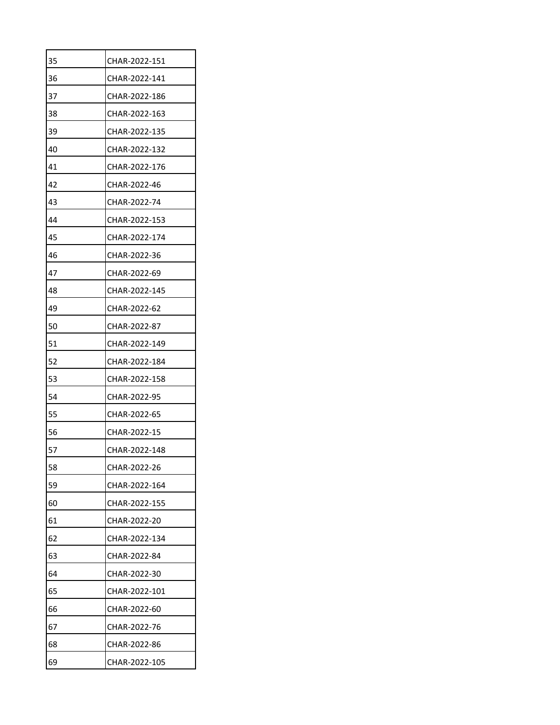| 35<br>CHAR-2022-151<br>36<br>CHAR-2022-141<br>37<br>CHAR-2022-186<br>38<br>CHAR-2022-163<br>39<br>CHAR-2022-135<br>40<br>CHAR-2022-132<br>41<br>CHAR-2022-176<br>42<br>CHAR-2022-46<br>43<br>CHAR-2022-74<br>44<br>CHAR-2022-153<br>45<br>CHAR-2022-174 |
|---------------------------------------------------------------------------------------------------------------------------------------------------------------------------------------------------------------------------------------------------------|
|                                                                                                                                                                                                                                                         |
|                                                                                                                                                                                                                                                         |
|                                                                                                                                                                                                                                                         |
|                                                                                                                                                                                                                                                         |
|                                                                                                                                                                                                                                                         |
|                                                                                                                                                                                                                                                         |
|                                                                                                                                                                                                                                                         |
|                                                                                                                                                                                                                                                         |
|                                                                                                                                                                                                                                                         |
|                                                                                                                                                                                                                                                         |
|                                                                                                                                                                                                                                                         |
| 46<br>CHAR-2022-36                                                                                                                                                                                                                                      |
| 47<br>CHAR-2022-69                                                                                                                                                                                                                                      |
| 48<br>CHAR-2022-145                                                                                                                                                                                                                                     |
| 49<br>CHAR-2022-62                                                                                                                                                                                                                                      |
| 50<br>CHAR-2022-87                                                                                                                                                                                                                                      |
| 51<br>CHAR-2022-149                                                                                                                                                                                                                                     |
| 52<br>CHAR-2022-184                                                                                                                                                                                                                                     |
| 53<br>CHAR-2022-158                                                                                                                                                                                                                                     |
| 54<br>CHAR-2022-95                                                                                                                                                                                                                                      |
| 55<br>CHAR-2022-65                                                                                                                                                                                                                                      |
| 56<br>CHAR-2022-15                                                                                                                                                                                                                                      |
| 57<br>CHAR-2022-148                                                                                                                                                                                                                                     |
| 58<br>CHAR-2022-26                                                                                                                                                                                                                                      |
| 59<br>CHAR-2022-164                                                                                                                                                                                                                                     |
| 60<br>CHAR-2022-155                                                                                                                                                                                                                                     |
| 61<br>CHAR-2022-20                                                                                                                                                                                                                                      |
| 62<br>CHAR-2022-134                                                                                                                                                                                                                                     |
| 63<br>CHAR-2022-84                                                                                                                                                                                                                                      |
| 64<br>CHAR-2022-30                                                                                                                                                                                                                                      |
| 65<br>CHAR-2022-101                                                                                                                                                                                                                                     |
| 66<br>CHAR-2022-60                                                                                                                                                                                                                                      |
| 67<br>CHAR-2022-76                                                                                                                                                                                                                                      |
| 68<br>CHAR-2022-86                                                                                                                                                                                                                                      |
| 69<br>CHAR-2022-105                                                                                                                                                                                                                                     |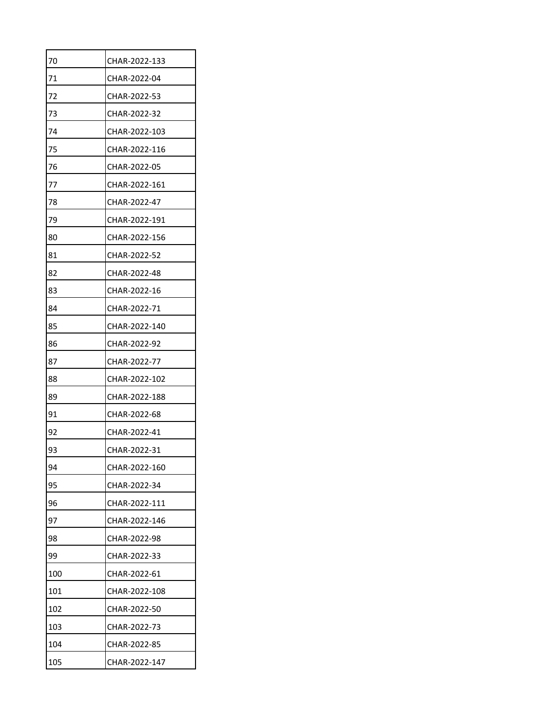| 70  | CHAR-2022-133 |
|-----|---------------|
| 71  | CHAR-2022-04  |
| 72  | CHAR-2022-53  |
| 73  | CHAR-2022-32  |
| 74  | CHAR-2022-103 |
| 75  | CHAR-2022-116 |
| 76  | CHAR-2022-05  |
| 77  | CHAR-2022-161 |
| 78  | CHAR-2022-47  |
| 79  | CHAR-2022-191 |
| 80  | CHAR-2022-156 |
| 81  | CHAR-2022-52  |
| 82  | CHAR-2022-48  |
| 83  | CHAR-2022-16  |
| 84  | CHAR-2022-71  |
| 85  | CHAR-2022-140 |
| 86  | CHAR-2022-92  |
| 87  | CHAR-2022-77  |
| 88  | CHAR-2022-102 |
| 89  | CHAR-2022-188 |
| 91  | CHAR-2022-68  |
| 92  | CHAR-2022-41  |
| 93  | CHAR-2022-31  |
| 94  | CHAR-2022-160 |
| 95  | CHAR-2022-34  |
| 96  | CHAR-2022-111 |
| 97  | CHAR-2022-146 |
| 98  | CHAR-2022-98  |
| 99  | CHAR-2022-33  |
| 100 | CHAR-2022-61  |
| 101 | CHAR-2022-108 |
| 102 | CHAR-2022-50  |
| 103 | CHAR-2022-73  |
| 104 | CHAR-2022-85  |
| 105 | CHAR-2022-147 |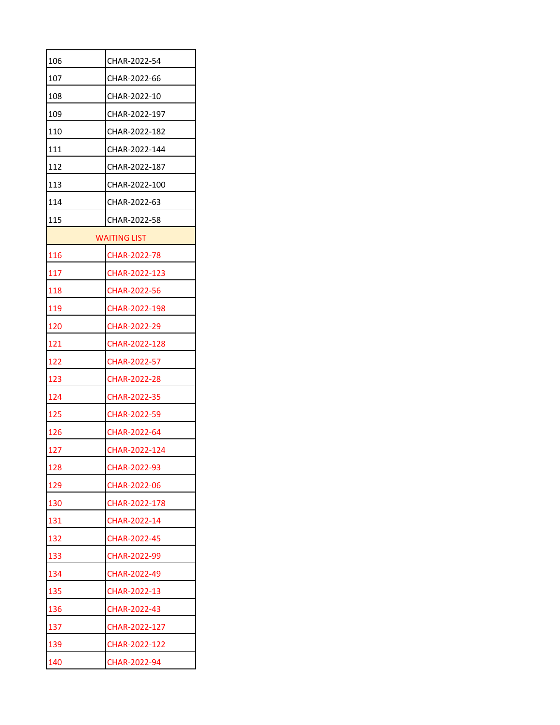| 106 | CHAR-2022-54        |  |  |
|-----|---------------------|--|--|
| 107 | CHAR-2022-66        |  |  |
| 108 | CHAR-2022-10        |  |  |
| 109 | CHAR-2022-197       |  |  |
| 110 | CHAR-2022-182       |  |  |
| 111 | CHAR-2022-144       |  |  |
| 112 | CHAR-2022-187       |  |  |
| 113 | CHAR-2022-100       |  |  |
| 114 | CHAR-2022-63        |  |  |
| 115 | CHAR-2022-58        |  |  |
|     | <b>WAITING LIST</b> |  |  |
| 116 | CHAR-2022-78        |  |  |
| 117 | CHAR-2022-123       |  |  |
| 118 | CHAR-2022-56        |  |  |
| 119 | CHAR-2022-198       |  |  |
| 120 | CHAR-2022-29        |  |  |
| 121 | CHAR-2022-128       |  |  |
| 122 | <b>CHAR-2022-57</b> |  |  |
| 123 | CHAR-2022-28        |  |  |
| 124 | CHAR-2022-35        |  |  |
| 125 | CHAR-2022-59        |  |  |
| 126 | CHAR-2022-64        |  |  |
| 127 | CHAR-2022-124       |  |  |
| 128 | CHAR-2022-93        |  |  |
| 129 | CHAR-2022-06        |  |  |
| 130 | CHAR-2022-178       |  |  |
| 131 | CHAR-2022-14        |  |  |
| 132 | CHAR-2022-45        |  |  |
| 133 | CHAR-2022-99        |  |  |
| 134 | CHAR-2022-49        |  |  |
| 135 | CHAR-2022-13        |  |  |
| 136 | CHAR-2022-43        |  |  |
| 137 | CHAR-2022-127       |  |  |
| 139 | CHAR-2022-122       |  |  |
| 140 | CHAR-2022-94        |  |  |
|     |                     |  |  |